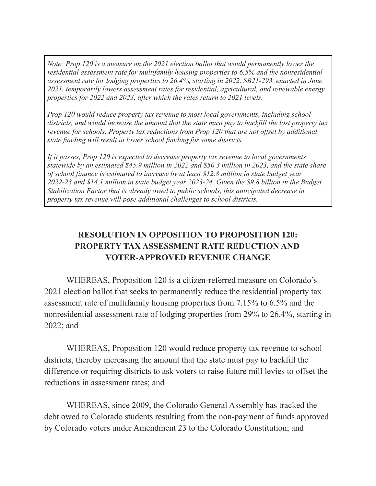*Note: Prop 120 is a measure on the 2021 election ballot that would permanently lower the residential assessment rate for multifamily housing properties to 6.5% and the nonresidential assessment rate for lodging properties to 26.4%, starting in 2022. SB21-293, enacted in June 2021, temporarily lowers assessment rates for residential, agricultural, and renewable energy properties for 2022 and 2023, after which the rates return to 2021 levels.*

*Prop 120 would reduce property tax revenue to most local governments, including school districts, and would increase the amount that the state must pay to backfill the lost property tax revenue for schools. Property tax reductions from Prop 120 that are not offset by additional state funding will result in lower school funding for some districts.*

*If it passes, Prop 120 is expected to decrease property tax revenue to local governments statewide by an estimated \$45.9 million in 2022 and \$50.3 million in 2023, and the state share of school finance is estimated to increase by at least \$12.8 million in state budget year 2022-23 and \$14.1 million in state budget year 2023-24. Given the \$9.8 billion in the Budget Stabilization Factor that is already owed to public schools, this anticipated decrease in property tax revenue will pose additional challenges to school districts.*

## **RESOLUTION IN OPPOSITION TO PROPOSITION 120: PROPERTY TAX ASSESSMENT RATE REDUCTION AND VOTER-APPROVED REVENUE CHANGE**

WHEREAS, Proposition 120 is a citizen-referred measure on Colorado's 2021 election ballot that seeks to permanently reduce the residential property tax assessment rate of multifamily housing properties from 7.15% to 6.5% and the nonresidential assessment rate of lodging properties from 29% to 26.4%, starting in 2022; and

WHEREAS, Proposition 120 would reduce property tax revenue to school districts, thereby increasing the amount that the state must pay to backfill the difference or requiring districts to ask voters to raise future mill levies to offset the reductions in assessment rates; and

WHEREAS, since 2009, the Colorado General Assembly has tracked the debt owed to Colorado students resulting from the non-payment of funds approved by Colorado voters under Amendment 23 to the Colorado Constitution; and